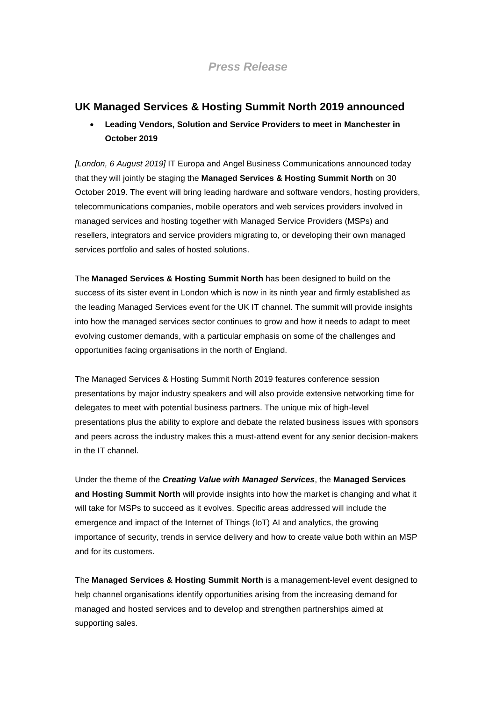# *Press Release*

## **UK Managed Services & Hosting Summit North 2019 announced**

• **Leading Vendors, Solution and Service Providers to meet in Manchester in October 2019**

*[London, 6 August 2019]* IT Europa and Angel Business Communications announced today that they will jointly be staging the **Managed Services & Hosting Summit North** on 30 October 2019. The event will bring leading hardware and software vendors, hosting providers, telecommunications companies, mobile operators and web services providers involved in managed services and hosting together with Managed Service Providers (MSPs) and resellers, integrators and service providers migrating to, or developing their own managed services portfolio and sales of hosted solutions.

The **Managed Services & Hosting Summit North** has been designed to build on the success of its sister event in London which is now in its ninth year and firmly established as the leading Managed Services event for the UK IT channel. The summit will provide insights into how the managed services sector continues to grow and how it needs to adapt to meet evolving customer demands, with a particular emphasis on some of the challenges and opportunities facing organisations in the north of England.

The Managed Services & Hosting Summit North 2019 features conference session presentations by major industry speakers and will also provide extensive networking time for delegates to meet with potential business partners. The unique mix of high-level presentations plus the ability to explore and debate the related business issues with sponsors and peers across the industry makes this a must-attend event for any senior decision-makers in the IT channel.

Under the theme of the *Creating Value with Managed Services*, the **Managed Services and Hosting Summit North** will provide insights into how the market is changing and what it will take for MSPs to succeed as it evolves. Specific areas addressed will include the emergence and impact of the Internet of Things (IoT) AI and analytics, the growing importance of security, trends in service delivery and how to create value both within an MSP and for its customers.

The **Managed Services & Hosting Summit North** is a management-level event designed to help channel organisations identify opportunities arising from the increasing demand for managed and hosted services and to develop and strengthen partnerships aimed at supporting sales.